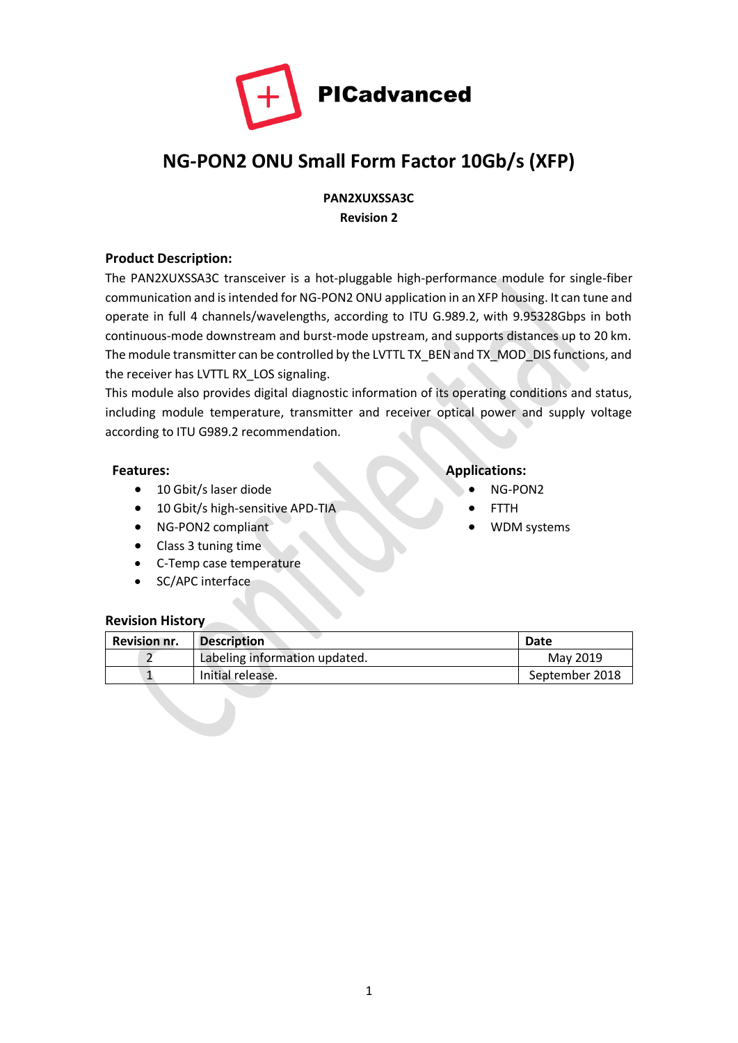

# **NG-PON2 ONU Small Form Factor 10Gb/s (XFP)**

**PAN2XUXSSA3C Revision 2**

#### **Product Description:**

The PAN2XUXSSA3C transceiver is a hot-pluggable high-performance module for single-fiber communication and is intended for NG-PON2 ONU application in an XFP housing. It can tune and operate in full 4 channels/wavelengths, according to ITU G.989.2, with 9.95328Gbps in both continuous-mode downstream and burst-mode upstream, and supports distances up to 20 km. The module transmitter can be controlled by the LVTTL TX\_BEN and TX\_MOD\_DIS functions, and the receiver has LVTTL RX\_LOS signaling.

This module also provides digital diagnostic information of its operating conditions and status, including module temperature, transmitter and receiver optical power and supply voltage according to ITU G989.2 recommendation.

- 10 Gbit/s laser diode NG-PON2
- 10 Gbit/s high-sensitive APD-TIA FTTH
- NG-PON2 compliant WDM systems
- Class 3 tuning time
- C-Temp case temperature
- SC/APC interface

#### **Revision History**

| <b>Revision nr.</b> | <b>Description</b>            | Date           |
|---------------------|-------------------------------|----------------|
|                     | Labeling information updated. | May 2019       |
|                     | Initial release.              | September 2018 |

# **Features: Applications:**

- 
- 
-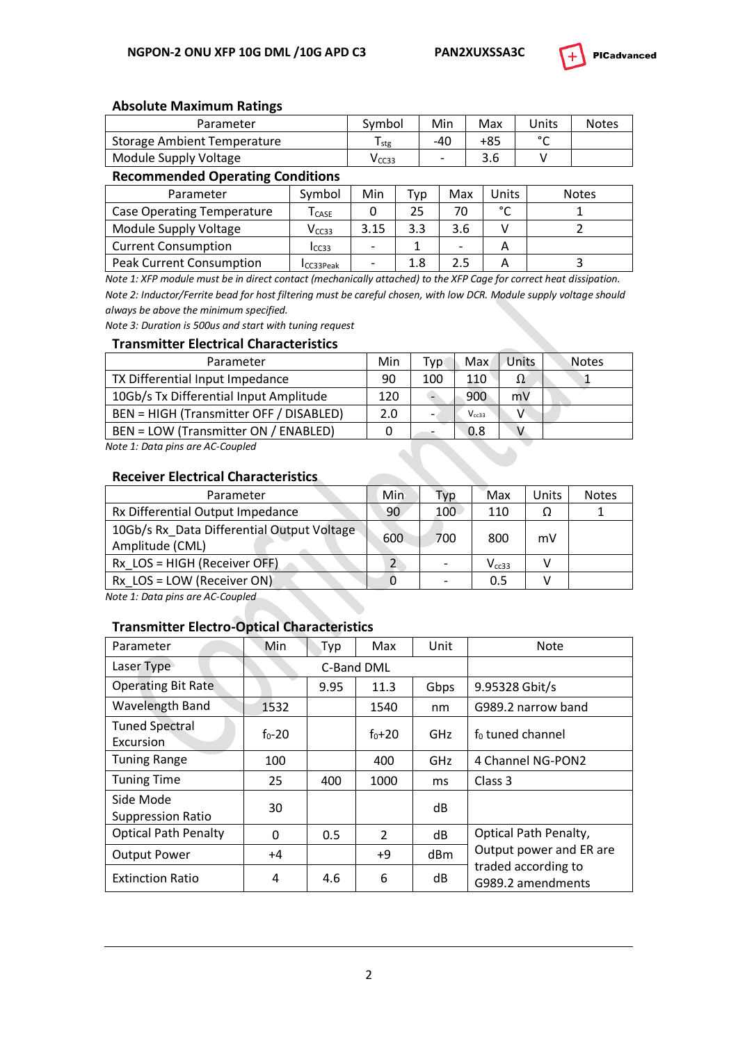

#### **Absolute Maximum Ratings**

| Parameter                   | Svmbol            | Min   | Max | Units  | <b>Notes</b> |
|-----------------------------|-------------------|-------|-----|--------|--------------|
| Storage Ambient Temperature | l stg             | $-40$ | +85 | $\sim$ |              |
| Module Supply Voltage       | V <sub>CC33</sub> |       | 3.6 |        |              |

#### **Recommended Operating Conditions**

| Parameter                         | Symbol                          | Min  | Typ | Max                      | Units  | <b>Notes</b> |
|-----------------------------------|---------------------------------|------|-----|--------------------------|--------|--------------|
| <b>Case Operating Temperature</b> | $\mathsf{\Gamma}_\mathsf{CASE}$ |      | 25  | 70                       | $\sim$ |              |
| Module Supply Voltage             | V <sub>CC33</sub>               | 3.15 | 3.3 | 3.6                      |        |              |
| <b>Current Consumption</b>        | I <sub>CC33</sub>               |      |     | $\overline{\phantom{a}}$ |        |              |
| <b>Peak Current Consumption</b>   | CC33Peak                        |      | 1.8 | 2.5                      |        |              |

*Note 1: XFP module must be in direct contact (mechanically attached) to the XFP Cage for correct heat dissipation. Note 2: Inductor/Ferrite bead for host filtering must be careful chosen, with low DCR. Module supply voltage should always be above the minimum specified.*

*Note 3: Duration is 500us and start with tuning request*

#### **Transmitter Electrical Characteristics**

| Parameter                               | Min | Tvp                      | Max        | Units | <b>Notes</b> |
|-----------------------------------------|-----|--------------------------|------------|-------|--------------|
| TX Differential Input Impedance         | 90  | 100                      | 110        |       |              |
| 10Gb/s Tx Differential Input Amplitude  | 120 |                          | 900        | mV    |              |
| BEN = HIGH (Transmitter OFF / DISABLED) | 2.0 | $\overline{\phantom{a}}$ | $V_{cc33}$ |       |              |
| BEN = LOW (Transmitter ON / ENABLED)    |     |                          | 0.8        |       |              |
| $M - 1 = A$ . Determine and AC Counted  |     |                          |            |       |              |

*Note 1: Data pins are AC-Coupled*

#### **Receiver Electrical Characteristics**

| Parameter                                                     | Min | Typ                      | Max        | Units | <b>Notes</b> |
|---------------------------------------------------------------|-----|--------------------------|------------|-------|--------------|
| Rx Differential Output Impedance                              | 90  | 100                      | 110        | Ω     |              |
| 10Gb/s Rx Data Differential Output Voltage<br>Amplitude (CML) | 600 | 700                      | 800        | mV    |              |
| $Rx$ LOS = HIGH (Receiver OFF)                                |     | $\overline{\phantom{a}}$ | $V_{cc33}$ |       |              |
| $Rx$ LOS = LOW (Receiver ON)                                  |     |                          | 0.5        |       |              |

*Note 1: Data pins are AC-Coupled*

#### **Transmitter Electro-Optical Characteristics**

| Parameter                             | Min        | Typ  | Max           | Unit       | Note                                     |
|---------------------------------------|------------|------|---------------|------------|------------------------------------------|
| Laser Type                            |            |      | C-Band DML    |            |                                          |
| <b>Operating Bit Rate</b>             |            | 9.95 | 11.3          | Gbps       | 9.95328 Gbit/s                           |
| Wavelength Band                       | 1532       |      | 1540          | nm         | G989.2 narrow band                       |
| <b>Tuned Spectral</b><br>Excursion    | $f_0 - 20$ |      | $f_0 + 20$    | <b>GHz</b> | $f_0$ tuned channel                      |
| <b>Tuning Range</b>                   | 100        |      | 400           | <b>GHz</b> | 4 Channel NG-PON2                        |
| <b>Tuning Time</b>                    | 25         | 400  | 1000          | ms         | Class 3                                  |
| Side Mode<br><b>Suppression Ratio</b> | 30         |      |               | dB         |                                          |
| <b>Optical Path Penalty</b>           | 0          | 0.5  | $\mathcal{P}$ | dB         | Optical Path Penalty,                    |
| <b>Output Power</b>                   | $+4$       |      | +9            | dBm        | Output power and ER are                  |
| <b>Extinction Ratio</b>               | 4          | 4.6  | 6             | dB         | traded according to<br>G989.2 amendments |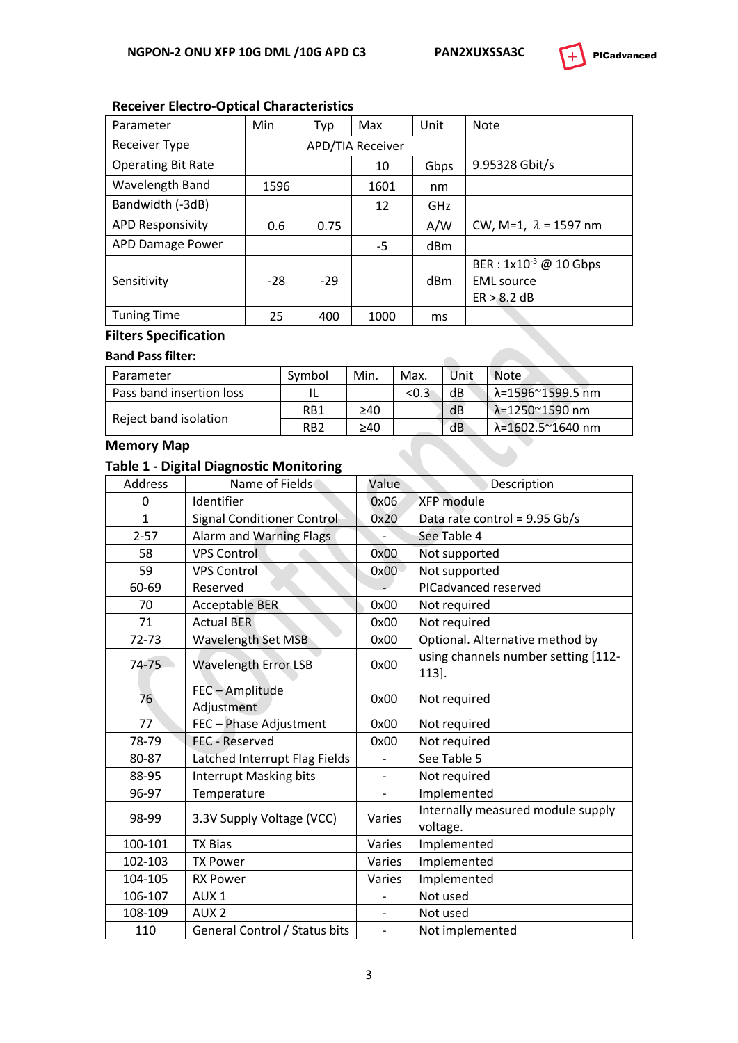

# **Receiver Electro-Optical Characteristics**

| Parameter                 | Min   | Typ   | Max                     | Unit            | <b>Note</b>                  |
|---------------------------|-------|-------|-------------------------|-----------------|------------------------------|
| <b>Receiver Type</b>      |       |       | <b>APD/TIA Receiver</b> |                 |                              |
| <b>Operating Bit Rate</b> |       |       | 10                      | Gbps            | 9.95328 Gbit/s               |
| Wavelength Band           | 1596  |       | 1601                    | nm              |                              |
| Bandwidth (-3dB)          |       |       | 12                      | <b>GHz</b>      |                              |
| <b>APD Responsivity</b>   | 0.6   | 0.75  |                         | A/W             | CW, M=1, $\lambda$ = 1597 nm |
| APD Damage Power          |       |       | $-5$                    | dBm             |                              |
|                           |       |       |                         |                 | BER : $1x10^{-3}$ @ 10 Gbps  |
| Sensitivity               | $-28$ | $-29$ |                         | d <sub>Bm</sub> | <b>EML</b> source            |
|                           |       |       |                         |                 | ER > 8.2 dB                  |
| <b>Tuning Time</b>        | 25    | 400   | 1000                    | ms              |                              |

# **Filters Specification**

#### **Band Pass filter:**

| Parameter                | Symbol          | Min. | Max.  | Unit | Note             |
|--------------------------|-----------------|------|-------|------|------------------|
| Pass band insertion loss |                 |      | < 0.3 | dB   | λ=1596~1599.5 nm |
| Reject band isolation    | RB1             | ≥40  |       | dB   | λ=1250~1590 nm   |
|                          | RB <sub>2</sub> | ≥40  |       | dВ   | λ=1602.5~1640 nm |

#### **Memory Map**

### **Table 1 - Digital Diagnostic Monitoring**

| <b>Address</b> | Name of Fields                    | Value                    | Description                                   |
|----------------|-----------------------------------|--------------------------|-----------------------------------------------|
| 0              | Identifier                        | 0x06                     | XFP module                                    |
| $\mathbf{1}$   | <b>Signal Conditioner Control</b> | 0x20                     | Data rate control = 9.95 Gb/s                 |
| $2 - 57$       | Alarm and Warning Flags           |                          | See Table 4                                   |
| 58             | <b>VPS Control</b>                | 0x00                     | Not supported                                 |
| 59             | <b>VPS Control</b>                | 0x00                     | Not supported                                 |
| 60-69          | Reserved                          |                          | PICadvanced reserved                          |
| 70             | <b>Acceptable BER</b>             | 0x00                     | Not required                                  |
| 71             | <b>Actual BER</b>                 | 0x00                     | Not required                                  |
| $72 - 73$      | <b>Wavelength Set MSB</b>         | 0x00                     | Optional. Alternative method by               |
| 74-75          | <b>Wavelength Error LSB</b>       | 0x00                     | using channels number setting [112-<br>113].  |
| 76             | FEC-Amplitude<br>Adjustment       | 0x00                     | Not required                                  |
| 77             | FEC - Phase Adjustment            | 0x00                     | Not required                                  |
| 78-79          | <b>FEC - Reserved</b>             | 0x00                     | Not required                                  |
| 80-87          | Latched Interrupt Flag Fields     |                          | See Table 5                                   |
| 88-95          | <b>Interrupt Masking bits</b>     | $\frac{1}{2}$            | Not required                                  |
| 96-97          | Temperature                       | $\overline{\phantom{0}}$ | Implemented                                   |
| 98-99          | 3.3V Supply Voltage (VCC)         | Varies                   | Internally measured module supply<br>voltage. |
| 100-101        | <b>TX Bias</b>                    | Varies                   | Implemented                                   |
| 102-103        | <b>TX Power</b>                   | Varies                   | Implemented                                   |
| 104-105        | <b>RX Power</b>                   | Varies                   | Implemented                                   |
| 106-107        | AUX <sub>1</sub>                  |                          | Not used                                      |
| 108-109        | AUX <sub>2</sub>                  | $\overline{\phantom{0}}$ | Not used                                      |
| 110            | General Control / Status bits     | $\overline{\phantom{a}}$ | Not implemented                               |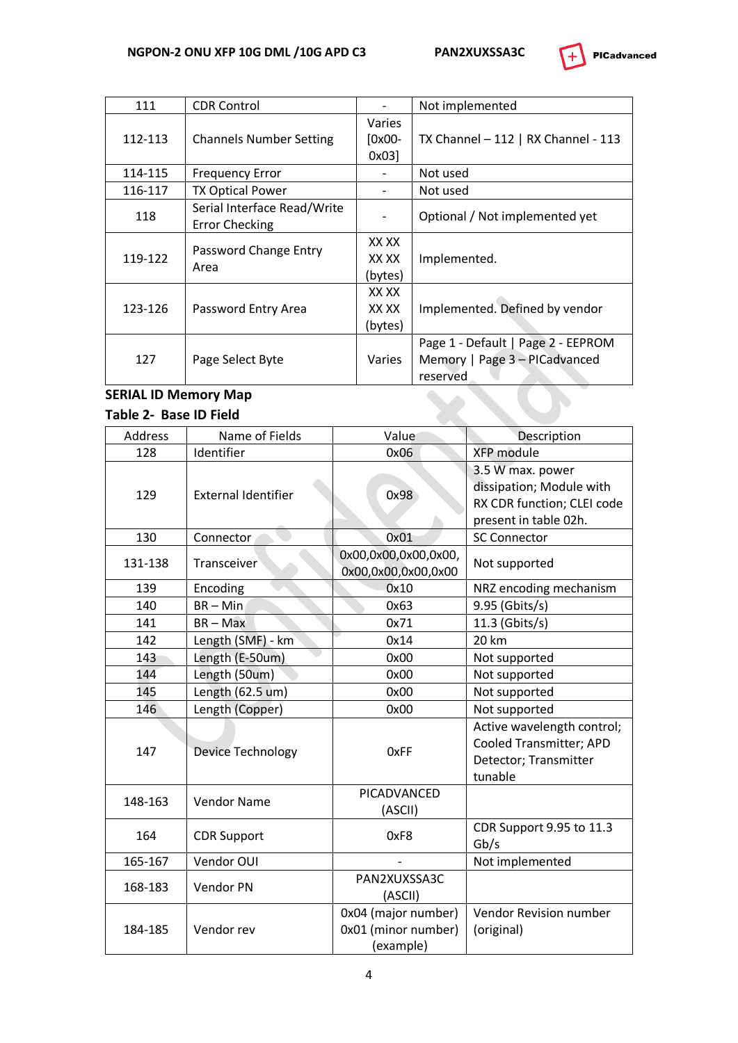

| 111     | <b>CDR Control</b>                                   |                           | Not implemented                                                                 |
|---------|------------------------------------------------------|---------------------------|---------------------------------------------------------------------------------|
| 112-113 | <b>Channels Number Setting</b>                       | Varies<br>[0x00-<br>0x03  | TX Channel $-112$   RX Channel - 113                                            |
| 114-115 | <b>Frequency Error</b>                               |                           | Not used                                                                        |
| 116-117 | <b>TX Optical Power</b>                              |                           | Not used                                                                        |
| 118     | Serial Interface Read/Write<br><b>Error Checking</b> |                           | Optional / Not implemented yet                                                  |
| 119-122 | Password Change Entry<br>Area                        | XX XX<br>XX XX<br>(bytes) | Implemented.                                                                    |
| 123-126 | Password Entry Area                                  | XX XX<br>XX XX<br>(bytes) | Implemented. Defined by vendor                                                  |
| 127     | Page Select Byte                                     | Varies                    | Page 1 - Default   Page 2 - EEPROM<br>Memory   Page 3 - PICadvanced<br>reserved |

# **SERIAL ID Memory Map**

#### **Table 2- Base ID Field**

| Address | Name of Fields             | Value                                                   | Description                                                                                         |
|---------|----------------------------|---------------------------------------------------------|-----------------------------------------------------------------------------------------------------|
| 128     | Identifier                 | 0x06                                                    | <b>XFP</b> module                                                                                   |
| 129     | <b>External Identifier</b> | 0x98                                                    | 3.5 W max. power<br>dissipation; Module with<br>RX CDR function; CLEI code<br>present in table 02h. |
| 130     | Connector                  | 0x01                                                    | <b>SC Connector</b>                                                                                 |
| 131-138 | Transceiver                | 0x00,0x00,0x00,0x00,<br>0x00,0x00,0x00,0x00             | Not supported                                                                                       |
| 139     | Encoding                   | 0x10                                                    | NRZ encoding mechanism                                                                              |
| 140     | $BR - Min$                 | 0x63                                                    | 9.95 (Gbits/s)                                                                                      |
| 141     | $BR - Max$                 | 0x71                                                    | 11.3 (Gbits/s)                                                                                      |
| 142     | Length (SMF) - km          | 0x14                                                    | 20 km                                                                                               |
| 143     | Length (E-50um)            | 0x00                                                    | Not supported                                                                                       |
| 144     | Length (50um)              | 0x00                                                    | Not supported                                                                                       |
| 145     | Length (62.5 um)           | 0x00                                                    | Not supported                                                                                       |
| 146     | Length (Copper)            | 0x00                                                    | Not supported                                                                                       |
| 147     | Device Technology          | 0xFF                                                    | Active wavelength control;<br>Cooled Transmitter; APD<br>Detector; Transmitter<br>tunable           |
| 148-163 | <b>Vendor Name</b>         | PICADVANCED<br>(ASCII)                                  |                                                                                                     |
| 164     | <b>CDR Support</b>         | 0xF8                                                    | CDR Support 9.95 to 11.3<br>Gb/s                                                                    |
| 165-167 | Vendor OUI                 |                                                         | Not implemented                                                                                     |
| 168-183 | Vendor PN                  | PAN2XUXSSA3C<br>(ASCII)                                 |                                                                                                     |
| 184-185 | Vendor rev                 | 0x04 (major number)<br>0x01 (minor number)<br>(example) | Vendor Revision number<br>(original)                                                                |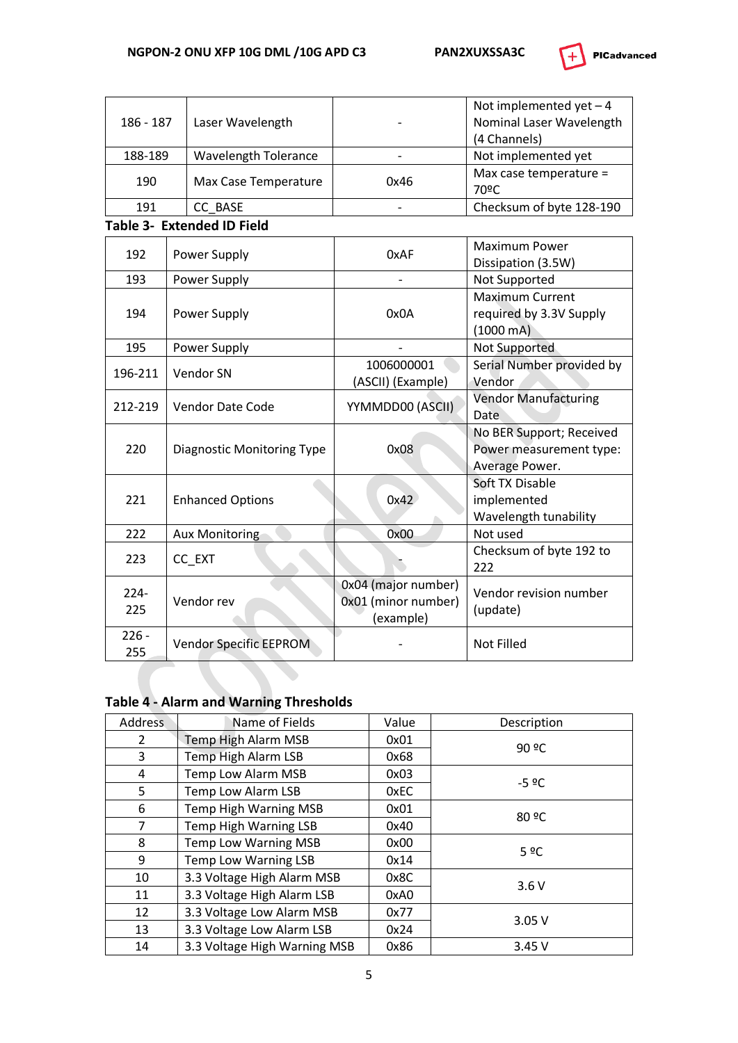

| 186 - 187      | Laser Wavelength                  |                                                         | Not implemented yet $-4$<br>Nominal Laser Wavelength<br>(4 Channels)  |
|----------------|-----------------------------------|---------------------------------------------------------|-----------------------------------------------------------------------|
| 188-189        | <b>Wavelength Tolerance</b>       |                                                         | Not implemented yet                                                   |
| 190            | Max Case Temperature              | 0x46                                                    | Max case temperature =<br>70°C                                        |
| 191            | CC BASE                           |                                                         | Checksum of byte 128-190                                              |
|                | Table 3- Extended ID Field        |                                                         |                                                                       |
| 192            | Power Supply                      | 0xAF                                                    | <b>Maximum Power</b><br>Dissipation (3.5W)                            |
| 193            | Power Supply                      |                                                         | Not Supported                                                         |
| 194            | Power Supply                      | 0x0A                                                    |                                                                       |
| 195            | Power Supply                      |                                                         | Not Supported                                                         |
| 196-211        | Vendor SN                         | 1006000001<br>(ASCII) (Example)                         | Serial Number provided by<br>Vendor                                   |
| 212-219        | <b>Vendor Date Code</b>           | YYMMDD00 (ASCII)                                        | <b>Vendor Manufacturing</b><br>Date                                   |
| 220            | <b>Diagnostic Monitoring Type</b> | 0x08                                                    | No BER Support; Received<br>Power measurement type:<br>Average Power. |
| 221            | <b>Enhanced Options</b>           | 0x42                                                    | Soft TX Disable<br>implemented<br>Wavelength tunability               |
| 222            | <b>Aux Monitoring</b>             | 0x00                                                    | Not used                                                              |
| 223            | CC_EXT                            |                                                         | Checksum of byte 192 to<br>222                                        |
| $224 -$<br>225 | Vendor rev                        | 0x04 (major number)<br>0x01 (minor number)<br>(example) | Vendor revision number<br>(update)                                    |
| $226 -$<br>255 | <b>Vendor Specific EEPROM</b>     |                                                         | <b>Not Filled</b>                                                     |

# **Table 4 - Alarm and Warning Thresholds**

| <b>Address</b> | Name of Fields                     | Value | Description |  |  |
|----------------|------------------------------------|-------|-------------|--|--|
| 2              | Temp High Alarm MSB                | 0x01  | 90 °C       |  |  |
| 3              | <b>Temp High Alarm LSB</b>         | 0x68  |             |  |  |
| 4              | Temp Low Alarm MSB                 | 0x03  | $-5°C$      |  |  |
| 5              | <b>Temp Low Alarm LSB</b>          | 0xEC  |             |  |  |
| 6              | <b>Temp High Warning MSB</b>       | 0x01  | 80 °C       |  |  |
| 7              | Temp High Warning LSB              | 0x40  |             |  |  |
| 8              | <b>Temp Low Warning MSB</b>        | 0x00  | 5 ºC        |  |  |
| 9              | Temp Low Warning LSB               | 0x14  |             |  |  |
| 10             | 3.3 Voltage High Alarm MSB         | 0x8C  |             |  |  |
| 11             | 3.3 Voltage High Alarm LSB<br>0xA0 |       | 3.6V        |  |  |
| 12             | 3.3 Voltage Low Alarm MSB          | 0x77  |             |  |  |
| 13             | 3.3 Voltage Low Alarm LSB          | 0x24  | 3.05V       |  |  |
| 14             | 3.3 Voltage High Warning MSB       | 0x86  | 3.45V       |  |  |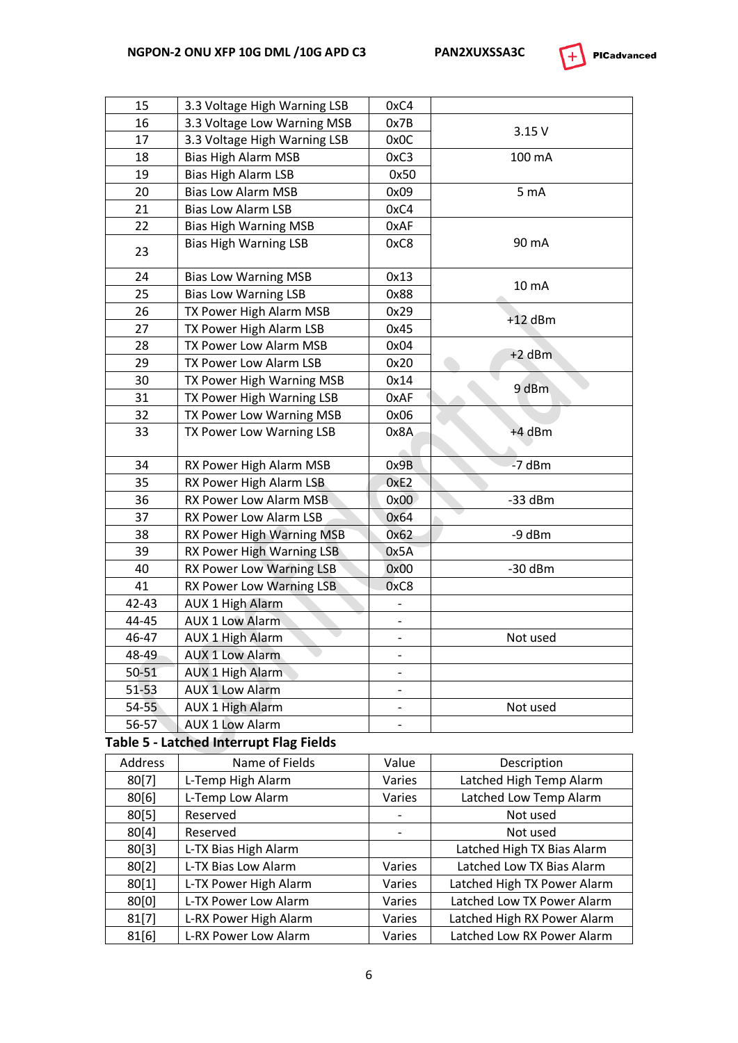

| 15        | 3.3 Voltage High Warning LSB                   | 0xC4                     |                             |
|-----------|------------------------------------------------|--------------------------|-----------------------------|
| 16        | 3.3 Voltage Low Warning MSB                    | 0x7B                     |                             |
| 17        | 3.3 Voltage High Warning LSB                   | 0x0C                     | 3.15V                       |
| 18        | <b>Bias High Alarm MSB</b>                     | 0xC3                     | 100 mA                      |
| 19        | Bias High Alarm LSB                            | 0x50                     |                             |
| 20        | <b>Bias Low Alarm MSB</b>                      | 0x09                     | 5 mA                        |
| 21        | <b>Bias Low Alarm LSB</b>                      | 0xC4                     |                             |
| 22        | <b>Bias High Warning MSB</b>                   | 0xAF                     |                             |
| 23        | <b>Bias High Warning LSB</b>                   | 0xC8                     | 90 mA                       |
| 24        | <b>Bias Low Warning MSB</b>                    | 0x13                     |                             |
| 25        | <b>Bias Low Warning LSB</b>                    | 0x88                     | 10 mA                       |
| 26        | TX Power High Alarm MSB                        | 0x29                     |                             |
| 27        | TX Power High Alarm LSB                        | 0x45                     | $+12$ dBm                   |
| 28        | TX Power Low Alarm MSB                         | 0x04                     |                             |
| 29        | TX Power Low Alarm LSB                         | 0x20                     | $+2$ dBm                    |
| 30        | TX Power High Warning MSB                      | 0x14                     |                             |
| 31        | TX Power High Warning LSB                      | 0xAF                     | 9 dBm                       |
| 32        | TX Power Low Warning MSB                       | 0x06                     |                             |
| 33        | TX Power Low Warning LSB                       | 0x8A                     | +4 dBm                      |
| 34        | RX Power High Alarm MSB                        | 0x9B                     | $-7$ dBm                    |
| 35        | RX Power High Alarm LSB                        | 0xE2                     |                             |
| 36        | RX Power Low Alarm MSB                         | 0x00                     | $-33$ dBm                   |
| 37        | RX Power Low Alarm LSB                         | 0x64                     |                             |
| 38        | RX Power High Warning MSB                      | 0x62                     | -9 dBm                      |
| 39        | RX Power High Warning LSB                      | 0x5A                     |                             |
| 40        | RX Power Low Warning LSB                       | 0x00                     | $-30$ dBm                   |
| 41        | RX Power Low Warning LSB                       | 0xC8                     |                             |
| 42-43     | <b>AUX 1 High Alarm</b>                        | -                        |                             |
| 44-45     | <b>AUX 1 Low Alarm</b>                         |                          |                             |
| 46-47     | <b>AUX 1 High Alarm</b>                        |                          | Not used                    |
| 48-49     | <b>AUX 1 Low Alarm</b>                         | $\overline{\phantom{0}}$ |                             |
| $50 - 51$ | <b>AUX 1 High Alarm</b>                        |                          |                             |
| $51 - 53$ | <b>AUX 1 Low Alarm</b>                         |                          |                             |
| $54 - 55$ | <b>AUX 1 High Alarm</b>                        | $\overline{\phantom{0}}$ | Not used                    |
| 56-57     | <b>AUX 1 Low Alarm</b>                         | $\qquad \qquad -$        |                             |
|           | <b>Table 5 - Latched Interrupt Flag Fields</b> |                          |                             |
| Address   | Name of Fields                                 | Value                    | Description                 |
| 80[7]     | L-Temp High Alarm                              | Varies                   | Latched High Temp Alarm     |
| 80[6]     | L-Temp Low Alarm                               | Varies                   | Latched Low Temp Alarm      |
| 80[5]     | Reserved                                       |                          | Not used                    |
| 80[4]     | Reserved                                       |                          | Not used                    |
| 80[3]     | L-TX Bias High Alarm                           |                          | Latched High TX Bias Alarm  |
| 80[2]     | L-TX Bias Low Alarm                            | Varies                   | Latched Low TX Bias Alarm   |
| 80[1]     | L-TX Power High Alarm                          | Varies                   | Latched High TX Power Alarm |
| 80[0]     | L-TX Power Low Alarm                           | Varies                   | Latched Low TX Power Alarm  |
| 81[7]     | L-RX Power High Alarm                          | Varies                   | Latched High RX Power Alarm |
| 81[6]     | L-RX Power Low Alarm                           | Varies                   | Latched Low RX Power Alarm  |
|           |                                                |                          |                             |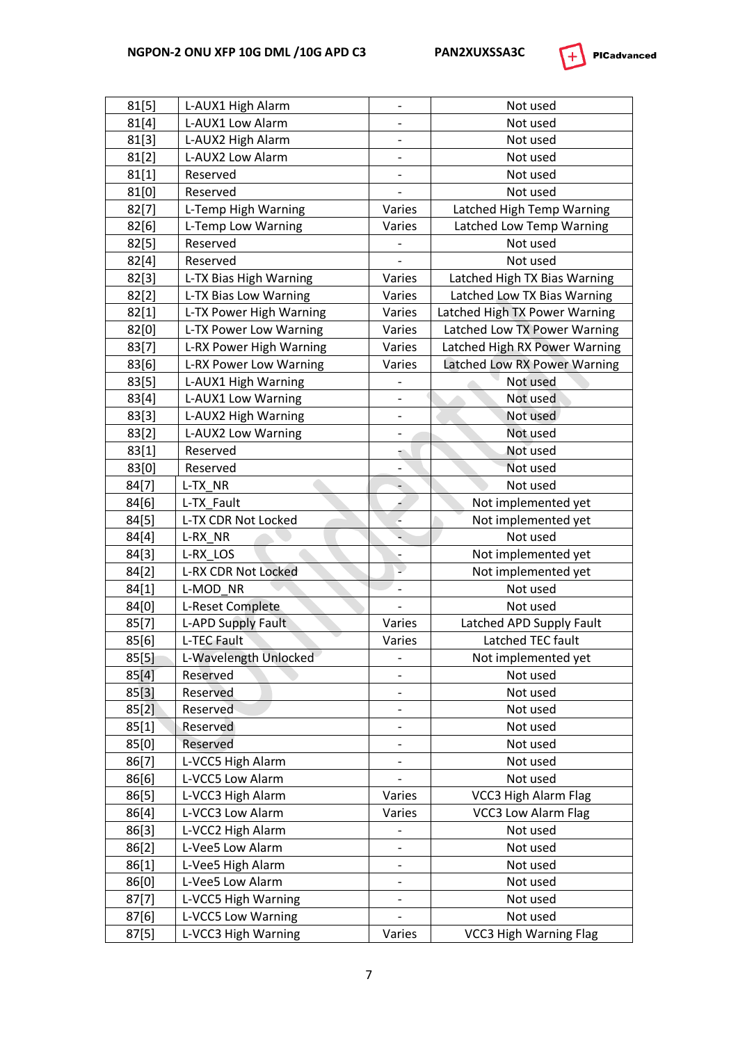

| 81[5] | L-AUX1 High Alarm               | -                        | Not used                      |  |
|-------|---------------------------------|--------------------------|-------------------------------|--|
| 81[4] | L-AUX1 Low Alarm                | -                        | Not used                      |  |
| 81[3] | L-AUX2 High Alarm               |                          | Not used                      |  |
| 81[2] | L-AUX2 Low Alarm                | $\overline{\phantom{0}}$ | Not used                      |  |
| 81[1] | Reserved                        | $\overline{\phantom{0}}$ | Not used                      |  |
| 81[0] | Reserved                        |                          | Not used                      |  |
| 82[7] | L-Temp High Warning             | Varies                   | Latched High Temp Warning     |  |
| 82[6] | L-Temp Low Warning              | Varies                   | Latched Low Temp Warning      |  |
| 82[5] | Reserved                        |                          | Not used                      |  |
| 82[4] | Reserved                        |                          | Not used                      |  |
| 82[3] | L-TX Bias High Warning          | Varies                   | Latched High TX Bias Warning  |  |
| 82[2] | L-TX Bias Low Warning<br>Varies |                          | Latched Low TX Bias Warning   |  |
| 82[1] | L-TX Power High Warning         | Varies                   | Latched High TX Power Warning |  |
| 82[0] | L-TX Power Low Warning          | Varies                   | Latched Low TX Power Warning  |  |
| 83[7] | L-RX Power High Warning         | Varies                   | Latched High RX Power Warning |  |
| 83[6] | L-RX Power Low Warning          | Varies                   | Latched Low RX Power Warning  |  |
| 83[5] | L-AUX1 High Warning             |                          | Not used                      |  |
| 83[4] | L-AUX1 Low Warning              | $\overline{a}$           | Not used                      |  |
| 83[3] | L-AUX2 High Warning             | -                        | Not used                      |  |
| 83[2] | L-AUX2 Low Warning              | $\overline{\phantom{0}}$ | Not used                      |  |
| 83[1] | Reserved                        | €                        | Not used                      |  |
| 83[0] | Reserved                        |                          | Not used                      |  |
| 84[7] | L-TX NR                         | ÷                        | Not used                      |  |
| 84[6] | L-TX Fault                      | ۴                        | Not implemented yet           |  |
| 84[5] | L-TX CDR Not Locked             |                          | Not implemented yet           |  |
| 84[4] | L-RX NR                         |                          | Not used                      |  |
| 84[3] | L-RX LOS                        |                          | Not implemented yet           |  |
| 84[2] | L-RX CDR Not Locked             | Ţ                        | Not implemented yet           |  |
| 84[1] | L-MOD NR                        | $\overline{\phantom{0}}$ | Not used                      |  |
| 84[0] | L-Reset Complete                | $\overline{a}$           | Not used                      |  |
| 85[7] | L-APD Supply Fault              | Varies                   | Latched APD Supply Fault      |  |
| 85[6] | L-TEC Fault                     | Varies                   | Latched TEC fault             |  |
| 85[5] | L-Wavelength Unlocked           |                          | Not implemented yet           |  |
| 85[4] | Reserved                        |                          | Not used                      |  |
| 85[3] | Reserved                        | $\overline{\phantom{0}}$ | Not used                      |  |
| 85[2] | Reserved                        | -                        | Not used                      |  |
| 85[1] | Reserved                        |                          | Not used                      |  |
| 85[0] | Reserved                        | $\overline{\phantom{0}}$ | Not used                      |  |
| 86[7] | L-VCC5 High Alarm               | $\overline{\phantom{0}}$ | Not used                      |  |
| 86[6] | L-VCC5 Low Alarm                |                          | Not used                      |  |
| 86[5] | L-VCC3 High Alarm               | Varies                   | VCC3 High Alarm Flag          |  |
| 86[4] | L-VCC3 Low Alarm                | Varies                   | <b>VCC3 Low Alarm Flag</b>    |  |
| 86[3] | L-VCC2 High Alarm               |                          | Not used                      |  |
| 86[2] | L-Vee5 Low Alarm                | -                        | Not used                      |  |
| 86[1] | L-Vee5 High Alarm               | $\qquad \qquad -$        | Not used                      |  |
| 86[0] | L-Vee5 Low Alarm                | $\overline{\phantom{0}}$ | Not used                      |  |
| 87[7] | L-VCC5 High Warning             | -                        | Not used                      |  |
| 87[6] | L-VCC5 Low Warning              | $\overline{\phantom{0}}$ | Not used                      |  |
| 87[5] | L-VCC3 High Warning             | Varies                   | <b>VCC3 High Warning Flag</b> |  |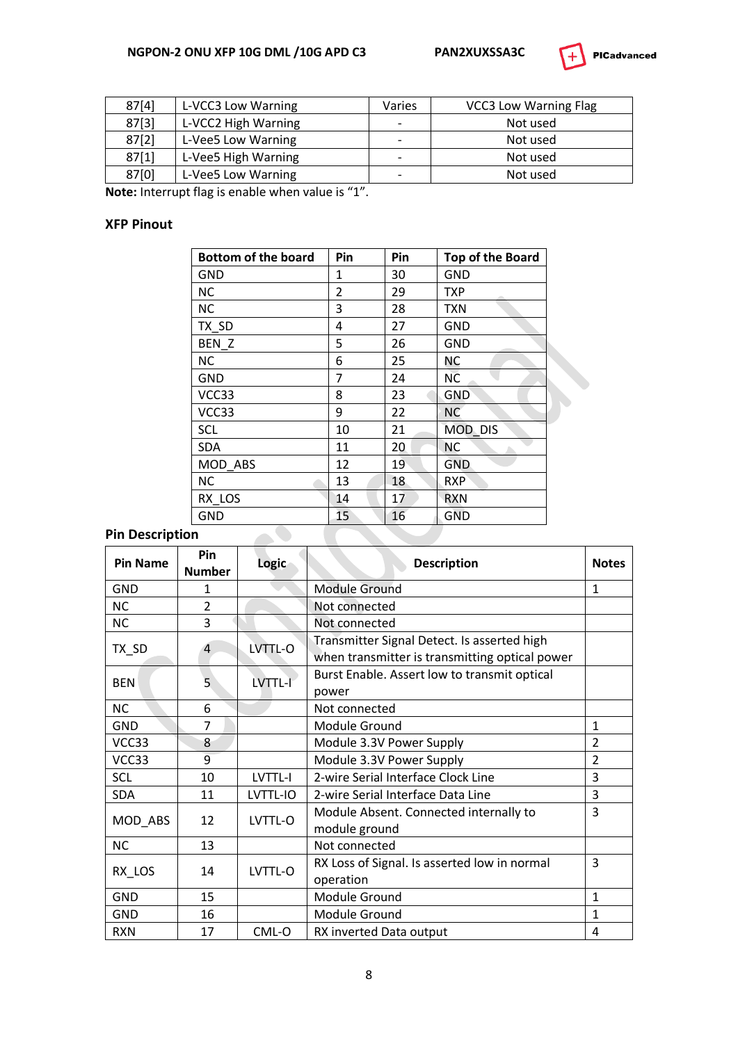#### **NGPON-2 ONU XFP 10G DML /10G APD C3 PAN2XUXSSA3C**



| <b>PICadvanced</b> |
|--------------------|
|--------------------|

| 87[4] | L-VCC3 Low Warning  | Varies                   | <b>VCC3 Low Warning Flag</b> |
|-------|---------------------|--------------------------|------------------------------|
| 87[3] | L-VCC2 High Warning | -                        | Not used                     |
| 87[2] | L-Vee5 Low Warning  | -                        | Not used                     |
| 87[1] | L-Vee5 High Warning | $\overline{\phantom{0}}$ | Not used                     |
| 87[0] | L-Vee5 Low Warning  | -                        | Not used                     |

**Note:** Interrupt flag is enable when value is "1".

#### **XFP Pinout**

| <b>Bottom of the board</b> | Pin            | Pin | <b>Top of the Board</b> |
|----------------------------|----------------|-----|-------------------------|
| GND                        | 1              | 30  | GND                     |
| <b>NC</b>                  | $\overline{2}$ | 29  | <b>TXP</b>              |
| <b>NC</b>                  | 3              | 28  | <b>TXN</b>              |
| TX_SD                      | 4              | 27  | GND                     |
| BEN_Z                      | 5              | 26  | <b>GND</b>              |
| <b>NC</b>                  | 6              | 25  | <b>NC</b>               |
| <b>GND</b>                 | 7              | 24  | <b>NC</b>               |
| VCC33                      | 8              | 23  | <b>GND</b>              |
| VCC33                      | 9              | 22  | <b>NC</b>               |
| SCL                        | 10             | 21  | MOD_DIS                 |
| <b>SDA</b>                 | 11             | 20  | <b>NC</b>               |
| MOD_ABS                    | 12             | 19  | <b>GND</b>              |
| <b>NC</b>                  | 13             | 18  | <b>RXP</b>              |
| RX LOS                     | 14             | 17  | <b>RXN</b>              |
| <b>GND</b>                 | 15             | 16  | <b>GND</b>              |

## **Pin Description**

| <b>Pin Name</b> | Pin<br><b>Number</b> | Logic    | <b>Description</b>                                                                            | <b>Notes</b>   |
|-----------------|----------------------|----------|-----------------------------------------------------------------------------------------------|----------------|
| GND             | 1                    |          | <b>Module Ground</b>                                                                          | $\mathbf{1}$   |
| <b>NC</b>       | $\overline{2}$       |          | Not connected                                                                                 |                |
| <b>NC</b>       | 3                    |          | Not connected                                                                                 |                |
| TX_SD           | $\overline{4}$       | LVTTL-O  | Transmitter Signal Detect. Is asserted high<br>when transmitter is transmitting optical power |                |
| <b>BEN</b>      | 5                    | LVTTL-I  | Burst Enable. Assert low to transmit optical<br>power                                         |                |
| <b>NC</b>       | 6                    |          | Not connected                                                                                 |                |
| <b>GND</b>      | 7                    |          | Module Ground                                                                                 | $\mathbf{1}$   |
| VCC33           | 8                    |          | Module 3.3V Power Supply                                                                      | $\overline{2}$ |
| VCC33           | 9                    |          | Module 3.3V Power Supply                                                                      | $\overline{2}$ |
| <b>SCL</b>      | 10                   | LVTTL-I  | 2-wire Serial Interface Clock Line                                                            | 3              |
| <b>SDA</b>      | 11                   | LVTTL-IO | 2-wire Serial Interface Data Line                                                             | 3              |
| MOD_ABS         | 12                   | LVTTL-O  | Module Absent. Connected internally to<br>module ground                                       | 3              |
| <b>NC</b>       | 13                   |          | Not connected                                                                                 |                |
| RX_LOS          | 14                   | LVTTL-O  | RX Loss of Signal. Is asserted low in normal<br>operation                                     | 3              |
| GND             | 15                   |          | Module Ground                                                                                 | $\mathbf{1}$   |
| GND             | 16                   |          | Module Ground                                                                                 | 1              |
| <b>RXN</b>      | 17                   | CML-O    | RX inverted Data output                                                                       | 4              |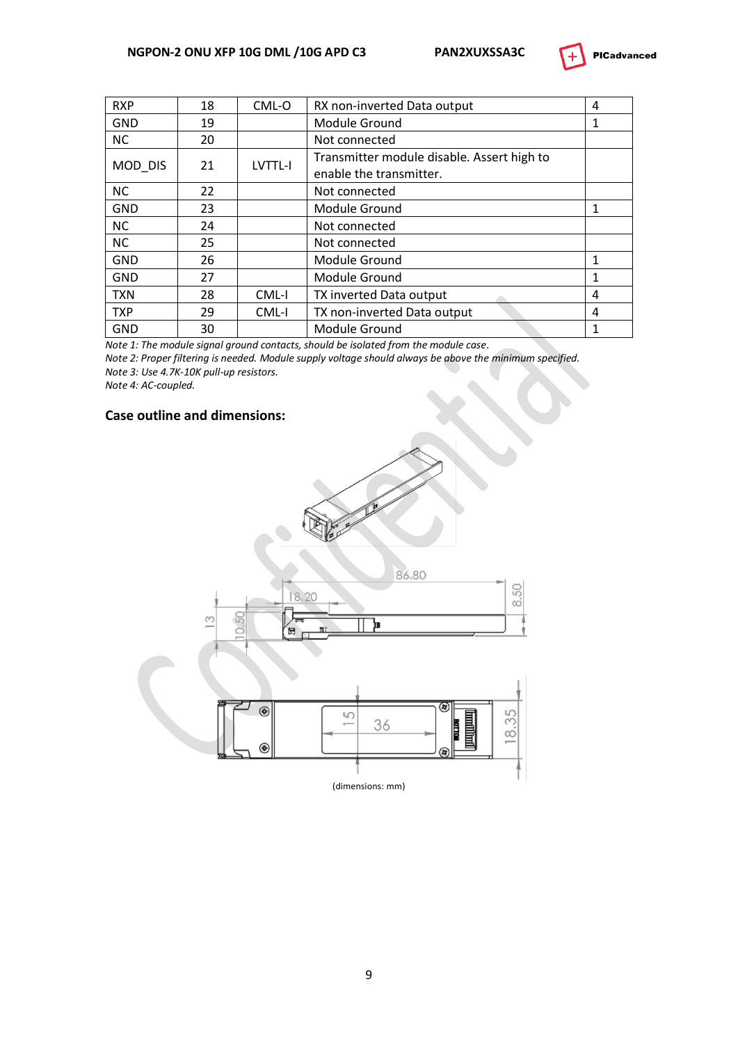

| <b>RXP</b> | 18 | CML-O   | RX non-inverted Data output                                           | 4 |
|------------|----|---------|-----------------------------------------------------------------------|---|
| <b>GND</b> | 19 |         | Module Ground                                                         | 1 |
| <b>NC</b>  | 20 |         | Not connected                                                         |   |
| MOD_DIS    | 21 | LVTTL-I | Transmitter module disable. Assert high to<br>enable the transmitter. |   |
| <b>NC</b>  | 22 |         | Not connected                                                         |   |
| <b>GND</b> | 23 |         | Module Ground                                                         |   |
| <b>NC</b>  | 24 |         | Not connected                                                         |   |
| <b>NC</b>  | 25 |         | Not connected                                                         |   |
| <b>GND</b> | 26 |         | Module Ground                                                         | 1 |
| <b>GND</b> | 27 |         | Module Ground                                                         | 1 |
| <b>TXN</b> | 28 | CML-I   | TX inverted Data output                                               | 4 |
| <b>TXP</b> | 29 | CML-I   | TX non-inverted Data output                                           | 4 |
| GND        | 30 |         | Module Ground                                                         |   |

*Note 1: The module signal ground contacts, should be isolated from the module case.*

*Note 2: Proper filtering is needed. Module supply voltage should always be above the minimum specified. Note 3: Use 4.7K-10K pull-up resistors.*

*Note 4: AC-coupled.*

#### **Case outline and dimensions:**

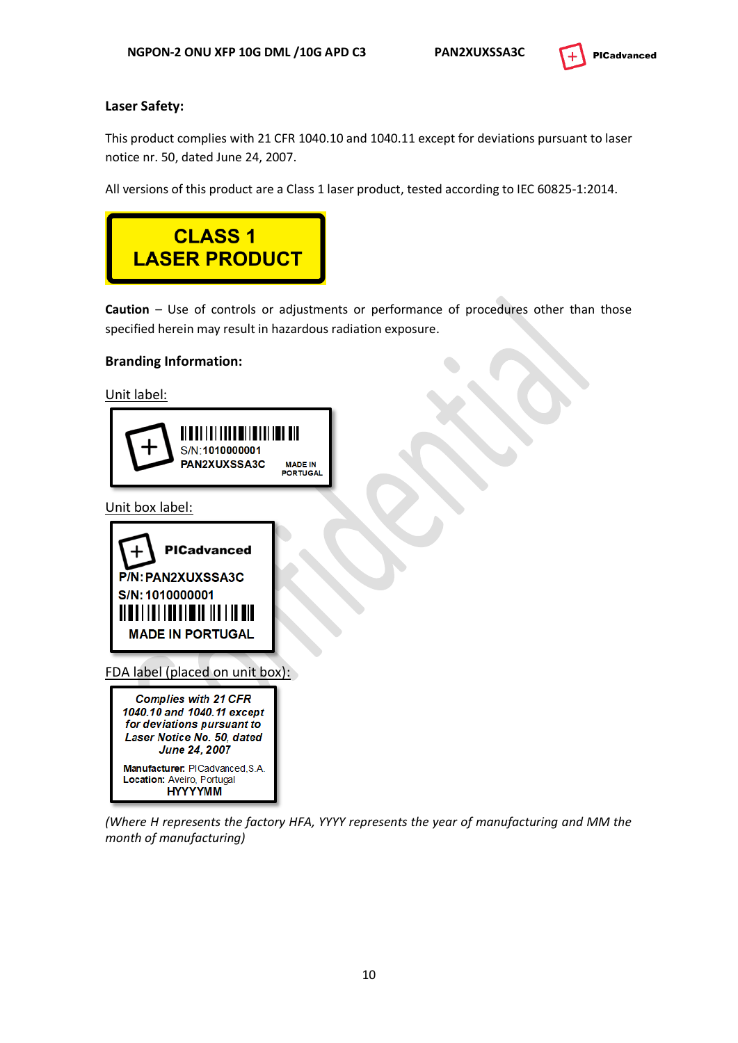

#### **Laser Safety:**

This product complies with 21 CFR 1040.10 and 1040.11 except for deviations pursuant to laser notice nr. 50, dated June 24, 2007.

All versions of this product are a Class 1 laser product, tested according to IEC 60825-1:2014.



**Caution** – Use of controls or adjustments or performance of procedures other than those specified herein may result in hazardous radiation exposure.

#### **Branding Information:**

Unit label:



Unit box label:



FDA label (placed on unit box):



*(Where H represents the factory HFA, YYYY represents the year of manufacturing and MM the month of manufacturing)*